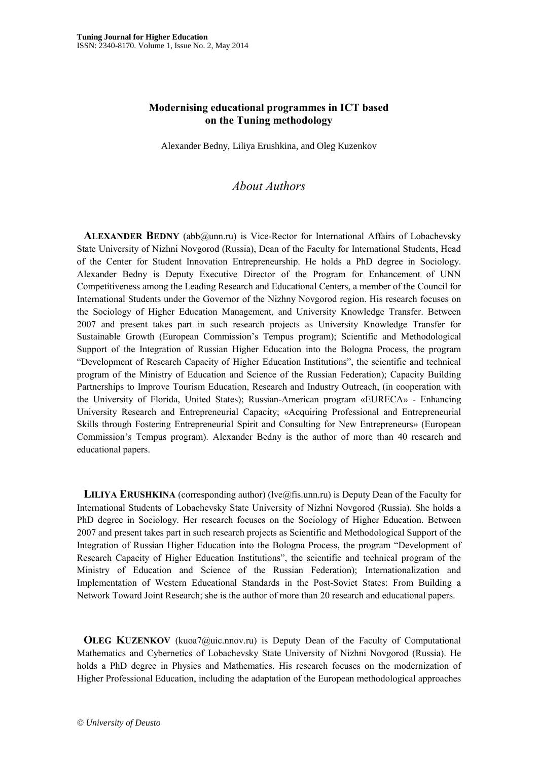## **Modernising educational programmes in ICT based on the Tuning methodology**

Alexander Bedny, Liliya Erushkina, and Oleg Kuzenkov

## *About Authors*

 **ALEXANDER BEDNY** (abb@unn.ru) is Vice-Rector for International Affairs of Lobachevsky State University of Nizhni Novgorod (Russia), Dean of the Faculty for International Students, Head of the Center for Student Innovation Entrepreneurship. He holds a PhD degree in Sociology. Alexander Bedny is Deputy Executive Director of the Program for Enhancement of UNN Competitiveness among the Leading Research and Educational Centers, a member of the Council for International Students under the Governor of the Nizhny Novgorod region. His research focuses on the Sociology of Higher Education Management, and University Knowledge Transfer. Between 2007 and present takes part in such research projects as University Knowledge Transfer for Sustainable Growth (European Commission's Tempus program); Scientific and Methodological Support of the Integration of Russian Higher Education into the Bologna Process, the program "Development of Research Capacity of Higher Education Institutions", the scientific and technical program of the Ministry of Education and Science of the Russian Federation); Capacity Building Partnerships to Improve Tourism Education, Research and Industry Outreach, (in cooperation with the University of Florida, United States); Russian-American program «EURECA» - Enhancing University Research and Entrepreneurial Capacity; «Acquiring Professional and Entrepreneurial Skills through Fostering Entrepreneurial Spirit and Consulting for New Entrepreneurs» (European Commission's Tempus program). Alexander Bedny is the author of more than 40 research and educational papers.

 **LILIYA ERUSHKINA** (corresponding author) (lve@fis.unn.ru) is Deputy Dean of the Faculty for International Students of Lobachevsky State University of Nizhni Novgorod (Russia). She holds a PhD degree in Sociology. Her research focuses on the Sociology of Higher Education. Between 2007 and present takes part in such research projects as Scientific and Methodological Support of the Integration of Russian Higher Education into the Bologna Process, the program "Development of Research Capacity of Higher Education Institutions", the scientific and technical program of the Ministry of Education and Science of the Russian Federation); Internationalization and Implementation of Western Educational Standards in the Post-Soviet States: From Building a Network Toward Joint Research; she is the author of more than 20 research and educational papers.

**OLEG KUZENKOV** (kuoa7@uic.nnov.ru) is Deputy Dean of the Faculty of Computational Mathematics and Cybernetics of Lobachevsky State University of Nizhni Novgorod (Russia). He holds a PhD degree in Physics and Mathematics. His research focuses on the modernization of Higher Professional Education, including the adaptation of the European methodological approaches